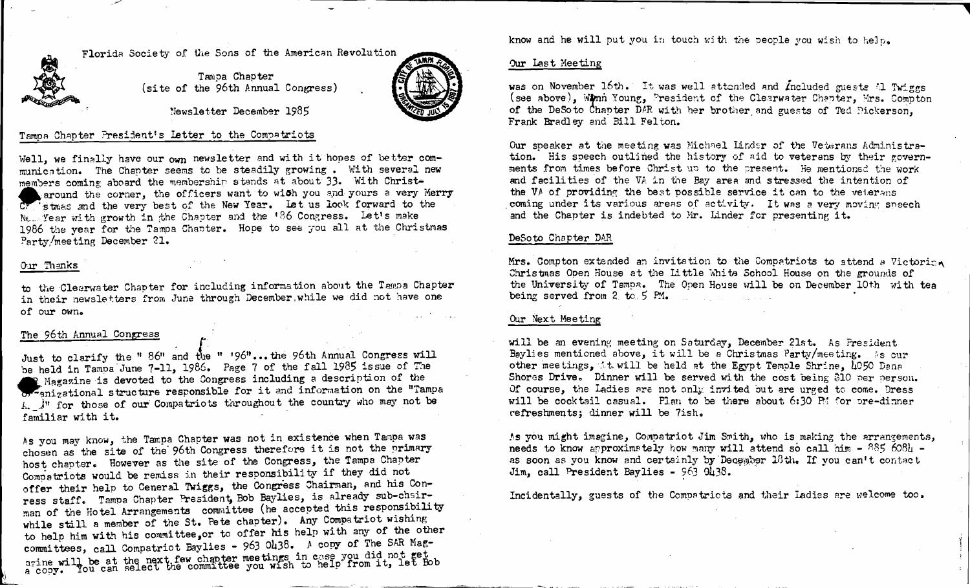Florida Society of the Sons of the American Revolution

Tampa Chapter (site of the 96th Annual Congress)



Newsletter December 1985

### Tampa Chapter President's Letter to the Compatriots

Well, we finally have our own newsletter and with it hopes of better communication. The Chapter seems to be steadily growing. With several new members coming aboard the membership stands at about 33. With Christaround the corner, the officers want to with you and yours a very Merry CF stmas and the very best of the New Year. Let us look forward to the New Year with growth in the Chapter and the '86 Congress. Let's make 1986 the year for the Tampa Chapter. Hope to see you all at the Christmas Party/meeting December 21.

## Our Thanks

to the Clearwater Chapter for including information about the Tampa Chapter in their newsletters from June through December, while we did not have one of our own.

# The 96th Annual Congress

Just to clarify the " 86" and the " '96"... the 96th Annual Congress will be held in Tampa June 7-11, 1986. Page 7 of the fall 1985 issue of The R Magazine is devoted to the Congress including a description of the or anizational structure responsible for it and information on the "Tampa A. In for those of our Compatriots throughout the country who may not be familiar with it.

As you may know, the Tampa Chapter was not in existence when Tampa was chosen as the site of the 96th Congress therefore it is not the primary host chapter. However as the site of the Congress, the Tampa Chapter Compatriots would be remiss in their responsibility if they did not offer their help to Ceneral Twiggs, the Congress Chairman, and his Conress staff. Tampa Chapter President, Bob Baylies, is already sub-chairman of the Hotel Arrangements committee (he accepted this responsibility while still a member of the St. Pete chapter). Any Compatriot wishing to help him with his committee, or to offer his help with any of the other committees, call Compatriot Baylies - 963 0438. A copy of The SAR Magarine will be at the next few chapter meetings in case you did not get<br>a copy. You can select the committee you wish to help from it, let Bob

know and he will put you in touch with the people you wish to help.

#### Our Last Meeting

was on November 16th. It was well attended and Included guests al Twiggs (see above), Winn Young, President of the Clearwater Chapter, Mrs. Compton of the DeSoto Chapter DAR with her brother and guests of Ted Dickerson. Frank Bradley and Bill Felton.

Our speaker at the meeting was Michael Linder of the Veterans Administration. His speech outlined the history of aid to veterans by their governments from times before Christ up to the present. He mentioned the work and facilities of the VA in the Bay area and stressed the intention of the VA of providing the best possible service it can to the veterans coming under its various areas of activity. It was a very moving speech and the Chapter is indebted to Mr. Linder for presenting it.

#### DeSoto Chapter DAR

Mrs. Compton extended an invitation to the Compatriots to attend a Victorian Christmas Open House at the Little White School House on the grounds of the University of Tampa. The Open House will be on December 10th with tea being served from 2 to 5 PM.

#### Our Next Meeting

will be an evening meeting on Saturday, December 21st. As Fresident Baylies mentioned above, it will be a Christmas Party/meeting. As our other meetings, it will be held at the Egypt Temple Shrine. 1050 Dana Shores Drive. Dinner will be served with the cost being \$10 per person. Of course, the Ladies are not only invited but are urged to come. Dress will be cocktail casual. Plan to be there about 6:30 PM for pre-dinner refreshments; dinner will be 7ish.

As you might imagine, Compatriot Jim Smith, who is making the arrangements, needs to know approximately how many will attend so call him - 885 6084 as soon as you know and certainly by December 18th. If you can't contact Jim. call President Bavlies - 963 9438.

Incidentally, guests of the Compatricts and their Ladies are welcome too.